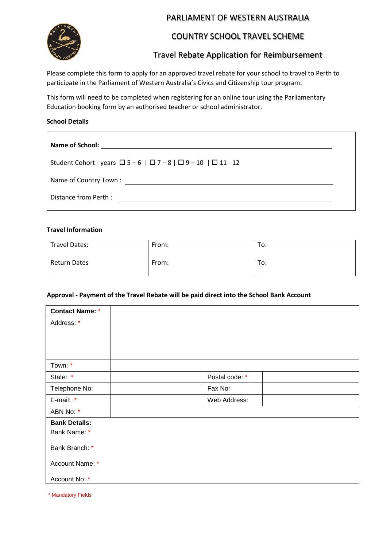

# PARLIAMENT OF WESTERN AUSTRALIA

# COUNTRY SCHOOL TRAVEL SCHEME

# Travel Rebate Application for Reimbursement

Please complete this form to apply for an approved travel rebate for your school to travel to Perth to participate in the Parliament of Western Australia's Civics and Citizenship tour program.

This form will need to be completed when registering for an online tour using the Parliamentary Education booking form by an authorised teacher or school administrator.

#### **School Details**

 $\blacksquare$ 

#### **Travel Information**

| <b>Travel Dates:</b> | From: | To: |
|----------------------|-------|-----|
| <b>Return Dates</b>  | From: | To: |

#### **Approval - Payment of the Travel Rebate will be paid direct into the School Bank Account**

| <b>Contact Name: *</b> |                |  |
|------------------------|----------------|--|
| Address: *             |                |  |
|                        |                |  |
|                        |                |  |
|                        |                |  |
| Town: *                |                |  |
| State *                | Postal code: * |  |
| Telephone No:          | Fax No:        |  |
| E-mail: *              | Web Address:   |  |
| ABN No: *              |                |  |
| <b>Bank Details:</b>   |                |  |
| Bank Name: *           |                |  |
| Bank Branch: *         |                |  |
| Account Name: *        |                |  |
| Account No: *          |                |  |

\* Mandatory Fields